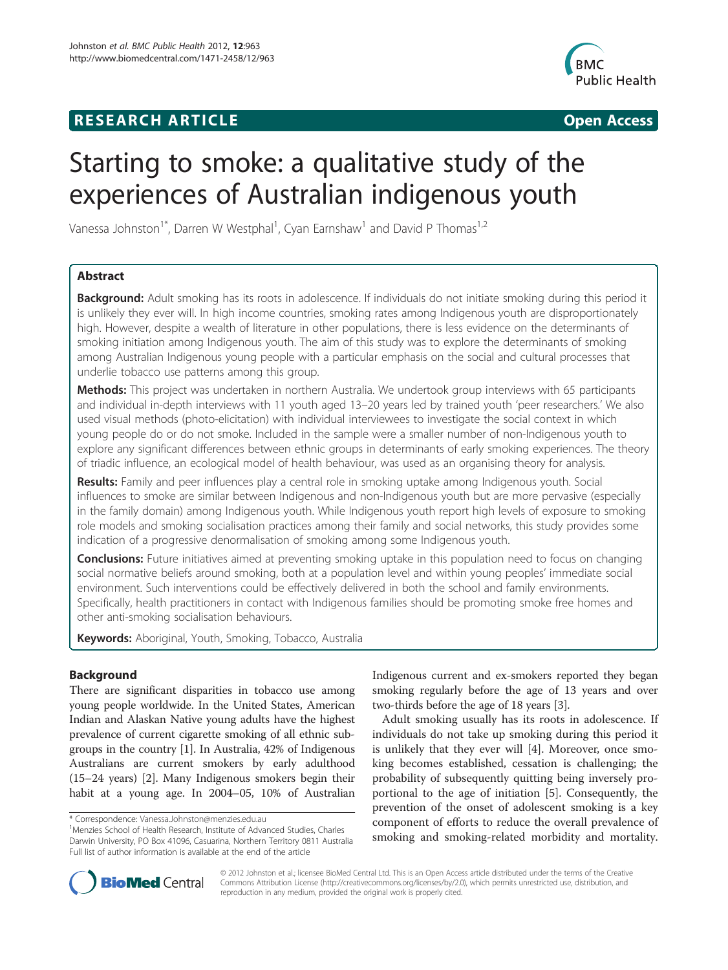## **RESEARCH ARTICLE Example 2014 12:30 The Community Community Community Community Community Community Community**



# Starting to smoke: a qualitative study of the experiences of Australian indigenous youth

Vanessa Johnston<sup>1\*</sup>, Darren W Westphal<sup>1</sup>, Cyan Earnshaw<sup>1</sup> and David P Thomas<sup>1,2</sup>

## Abstract

Background: Adult smoking has its roots in adolescence. If individuals do not initiate smoking during this period it is unlikely they ever will. In high income countries, smoking rates among Indigenous youth are disproportionately high. However, despite a wealth of literature in other populations, there is less evidence on the determinants of smoking initiation among Indigenous youth. The aim of this study was to explore the determinants of smoking among Australian Indigenous young people with a particular emphasis on the social and cultural processes that underlie tobacco use patterns among this group.

Methods: This project was undertaken in northern Australia. We undertook group interviews with 65 participants and individual in-depth interviews with 11 youth aged 13–20 years led by trained youth 'peer researchers.' We also used visual methods (photo-elicitation) with individual interviewees to investigate the social context in which young people do or do not smoke. Included in the sample were a smaller number of non-Indigenous youth to explore any significant differences between ethnic groups in determinants of early smoking experiences. The theory of triadic influence, an ecological model of health behaviour, was used as an organising theory for analysis.

Results: Family and peer influences play a central role in smoking uptake among Indigenous youth. Social influences to smoke are similar between Indigenous and non-Indigenous youth but are more pervasive (especially in the family domain) among Indigenous youth. While Indigenous youth report high levels of exposure to smoking role models and smoking socialisation practices among their family and social networks, this study provides some indication of a progressive denormalisation of smoking among some Indigenous youth.

**Conclusions:** Future initiatives aimed at preventing smoking uptake in this population need to focus on changing social normative beliefs around smoking, both at a population level and within young peoples' immediate social environment. Such interventions could be effectively delivered in both the school and family environments. Specifically, health practitioners in contact with Indigenous families should be promoting smoke free homes and other anti-smoking socialisation behaviours.

Keywords: Aboriginal, Youth, Smoking, Tobacco, Australia

## Background

There are significant disparities in tobacco use among young people worldwide. In the United States, American Indian and Alaskan Native young adults have the highest prevalence of current cigarette smoking of all ethnic subgroups in the country [\[1](#page-11-0)]. In Australia, 42% of Indigenous Australians are current smokers by early adulthood (15–24 years) [\[2](#page-11-0)]. Many Indigenous smokers begin their habit at a young age. In 2004–05, 10% of Australian Indigenous current and ex-smokers reported they began smoking regularly before the age of 13 years and over two-thirds before the age of 18 years [\[3](#page-11-0)].

Adult smoking usually has its roots in adolescence. If individuals do not take up smoking during this period it is unlikely that they ever will [\[4\]](#page-11-0). Moreover, once smoking becomes established, cessation is challenging; the probability of subsequently quitting being inversely proportional to the age of initiation [\[5](#page-12-0)]. Consequently, the prevention of the onset of adolescent smoking is a key component of efforts to reduce the overall prevalence of smoking and smoking-related morbidity and mortality.



© 2012 Johnston et al.; licensee BioMed Central Ltd. This is an Open Access article distributed under the terms of the Creative Commons Attribution License [\(http://creativecommons.org/licenses/by/2.0\)](http://creativecommons.org/licenses/by/2.0), which permits unrestricted use, distribution, and reproduction in any medium, provided the original work is properly cited.

<sup>\*</sup> Correspondence: [Vanessa.Johnston@menzies.edu.au](mailto:Vanessa.Johnston@menzies.edu.au) <sup>1</sup>

<sup>&</sup>lt;sup>1</sup>Menzies School of Health Research, Institute of Advanced Studies, Charles Darwin University, PO Box 41096, Casuarina, Northern Territory 0811 Australia Full list of author information is available at the end of the article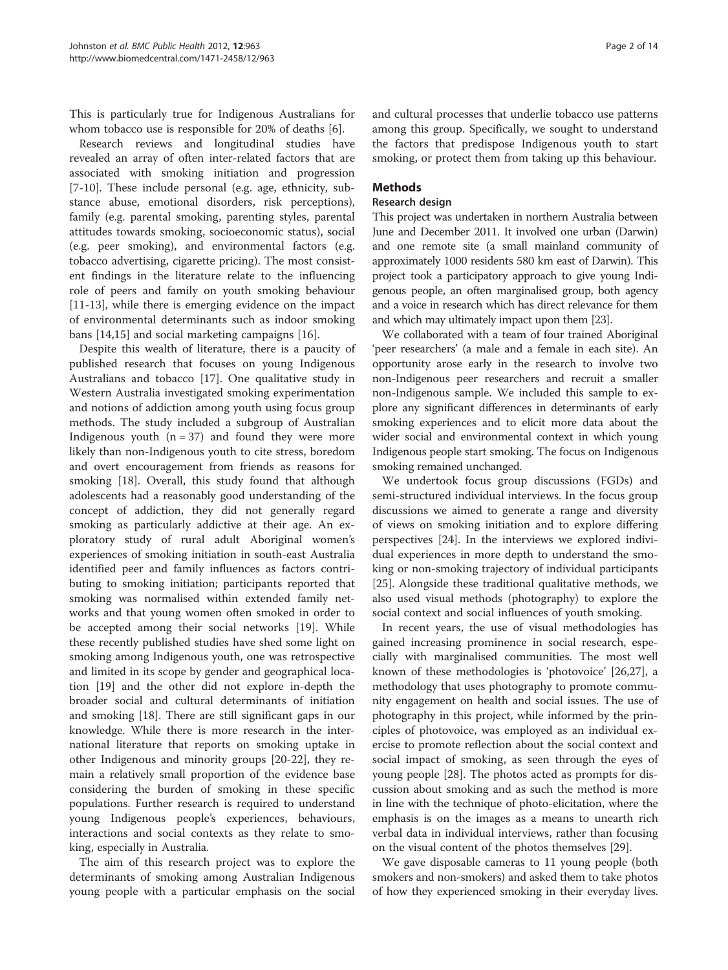This is particularly true for Indigenous Australians for whom tobacco use is responsible for 20% of deaths [[6\]](#page-12-0).

Research reviews and longitudinal studies have revealed an array of often inter-related factors that are associated with smoking initiation and progression [[7-10](#page-12-0)]. These include personal (e.g. age, ethnicity, substance abuse, emotional disorders, risk perceptions), family (e.g. parental smoking, parenting styles, parental attitudes towards smoking, socioeconomic status), social (e.g. peer smoking), and environmental factors (e.g. tobacco advertising, cigarette pricing). The most consistent findings in the literature relate to the influencing role of peers and family on youth smoking behaviour [[11-13](#page-12-0)], while there is emerging evidence on the impact of environmental determinants such as indoor smoking bans [[14,15](#page-12-0)] and social marketing campaigns [[16](#page-12-0)].

Despite this wealth of literature, there is a paucity of published research that focuses on young Indigenous Australians and tobacco [[17\]](#page-12-0). One qualitative study in Western Australia investigated smoking experimentation and notions of addiction among youth using focus group methods. The study included a subgroup of Australian Indigenous youth  $(n = 37)$  and found they were more likely than non-Indigenous youth to cite stress, boredom and overt encouragement from friends as reasons for smoking [[18\]](#page-12-0). Overall, this study found that although adolescents had a reasonably good understanding of the concept of addiction, they did not generally regard smoking as particularly addictive at their age. An exploratory study of rural adult Aboriginal women's experiences of smoking initiation in south-east Australia identified peer and family influences as factors contributing to smoking initiation; participants reported that smoking was normalised within extended family networks and that young women often smoked in order to be accepted among their social networks [\[19\]](#page-12-0). While these recently published studies have shed some light on smoking among Indigenous youth, one was retrospective and limited in its scope by gender and geographical location [\[19](#page-12-0)] and the other did not explore in-depth the broader social and cultural determinants of initiation and smoking [[18\]](#page-12-0). There are still significant gaps in our knowledge. While there is more research in the international literature that reports on smoking uptake in other Indigenous and minority groups [[20-22](#page-12-0)], they remain a relatively small proportion of the evidence base considering the burden of smoking in these specific populations. Further research is required to understand young Indigenous people's experiences, behaviours, interactions and social contexts as they relate to smoking, especially in Australia.

The aim of this research project was to explore the determinants of smoking among Australian Indigenous young people with a particular emphasis on the social

and cultural processes that underlie tobacco use patterns among this group. Specifically, we sought to understand the factors that predispose Indigenous youth to start smoking, or protect them from taking up this behaviour.

#### Methods

#### Research design

This project was undertaken in northern Australia between June and December 2011. It involved one urban (Darwin) and one remote site (a small mainland community of approximately 1000 residents 580 km east of Darwin). This project took a participatory approach to give young Indigenous people, an often marginalised group, both agency and a voice in research which has direct relevance for them and which may ultimately impact upon them [[23](#page-12-0)].

We collaborated with a team of four trained Aboriginal 'peer researchers' (a male and a female in each site). An opportunity arose early in the research to involve two non-Indigenous peer researchers and recruit a smaller non-Indigenous sample. We included this sample to explore any significant differences in determinants of early smoking experiences and to elicit more data about the wider social and environmental context in which young Indigenous people start smoking. The focus on Indigenous smoking remained unchanged.

We undertook focus group discussions (FGDs) and semi-structured individual interviews. In the focus group discussions we aimed to generate a range and diversity of views on smoking initiation and to explore differing perspectives [[24\]](#page-12-0). In the interviews we explored individual experiences in more depth to understand the smoking or non-smoking trajectory of individual participants [[25\]](#page-12-0). Alongside these traditional qualitative methods, we also used visual methods (photography) to explore the social context and social influences of youth smoking.

In recent years, the use of visual methodologies has gained increasing prominence in social research, especially with marginalised communities. The most well known of these methodologies is 'photovoice' [\[26,27\]](#page-12-0), a methodology that uses photography to promote community engagement on health and social issues. The use of photography in this project, while informed by the principles of photovoice, was employed as an individual exercise to promote reflection about the social context and social impact of smoking, as seen through the eyes of young people [\[28\]](#page-12-0). The photos acted as prompts for discussion about smoking and as such the method is more in line with the technique of photo-elicitation, where the emphasis is on the images as a means to unearth rich verbal data in individual interviews, rather than focusing on the visual content of the photos themselves [\[29\]](#page-12-0).

We gave disposable cameras to 11 young people (both smokers and non-smokers) and asked them to take photos of how they experienced smoking in their everyday lives.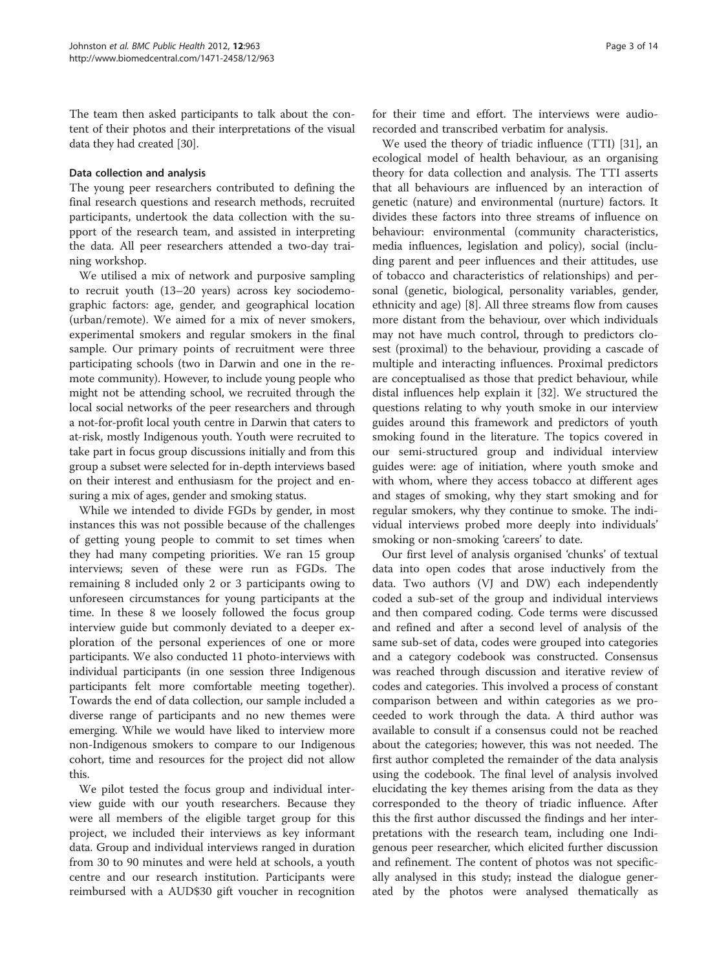The team then asked participants to talk about the content of their photos and their interpretations of the visual data they had created [[30](#page-12-0)].

#### Data collection and analysis

The young peer researchers contributed to defining the final research questions and research methods, recruited participants, undertook the data collection with the support of the research team, and assisted in interpreting the data. All peer researchers attended a two-day training workshop.

We utilised a mix of network and purposive sampling to recruit youth (13–20 years) across key sociodemographic factors: age, gender, and geographical location (urban/remote). We aimed for a mix of never smokers, experimental smokers and regular smokers in the final sample. Our primary points of recruitment were three participating schools (two in Darwin and one in the remote community). However, to include young people who might not be attending school, we recruited through the local social networks of the peer researchers and through a not-for-profit local youth centre in Darwin that caters to at-risk, mostly Indigenous youth. Youth were recruited to take part in focus group discussions initially and from this group a subset were selected for in-depth interviews based on their interest and enthusiasm for the project and ensuring a mix of ages, gender and smoking status.

While we intended to divide FGDs by gender, in most instances this was not possible because of the challenges of getting young people to commit to set times when they had many competing priorities. We ran 15 group interviews; seven of these were run as FGDs. The remaining 8 included only 2 or 3 participants owing to unforeseen circumstances for young participants at the time. In these 8 we loosely followed the focus group interview guide but commonly deviated to a deeper exploration of the personal experiences of one or more participants. We also conducted 11 photo-interviews with individual participants (in one session three Indigenous participants felt more comfortable meeting together). Towards the end of data collection, our sample included a diverse range of participants and no new themes were emerging. While we would have liked to interview more non-Indigenous smokers to compare to our Indigenous cohort, time and resources for the project did not allow this.

We pilot tested the focus group and individual interview guide with our youth researchers. Because they were all members of the eligible target group for this project, we included their interviews as key informant data. Group and individual interviews ranged in duration from 30 to 90 minutes and were held at schools, a youth centre and our research institution. Participants were reimbursed with a AUD\$30 gift voucher in recognition for their time and effort. The interviews were audiorecorded and transcribed verbatim for analysis.

We used the theory of triadic influence (TTI) [\[31\]](#page-12-0), an ecological model of health behaviour, as an organising theory for data collection and analysis. The TTI asserts that all behaviours are influenced by an interaction of genetic (nature) and environmental (nurture) factors. It divides these factors into three streams of influence on behaviour: environmental (community characteristics, media influences, legislation and policy), social (including parent and peer influences and their attitudes, use of tobacco and characteristics of relationships) and personal (genetic, biological, personality variables, gender, ethnicity and age) [[8](#page-12-0)]. All three streams flow from causes more distant from the behaviour, over which individuals may not have much control, through to predictors closest (proximal) to the behaviour, providing a cascade of multiple and interacting influences. Proximal predictors are conceptualised as those that predict behaviour, while distal influences help explain it [[32](#page-12-0)]. We structured the questions relating to why youth smoke in our interview guides around this framework and predictors of youth smoking found in the literature. The topics covered in our semi-structured group and individual interview guides were: age of initiation, where youth smoke and with whom, where they access tobacco at different ages and stages of smoking, why they start smoking and for regular smokers, why they continue to smoke. The individual interviews probed more deeply into individuals' smoking or non-smoking 'careers' to date.

Our first level of analysis organised 'chunks' of textual data into open codes that arose inductively from the data. Two authors (VJ and DW) each independently coded a sub-set of the group and individual interviews and then compared coding. Code terms were discussed and refined and after a second level of analysis of the same sub-set of data, codes were grouped into categories and a category codebook was constructed. Consensus was reached through discussion and iterative review of codes and categories. This involved a process of constant comparison between and within categories as we proceeded to work through the data. A third author was available to consult if a consensus could not be reached about the categories; however, this was not needed. The first author completed the remainder of the data analysis using the codebook. The final level of analysis involved elucidating the key themes arising from the data as they corresponded to the theory of triadic influence. After this the first author discussed the findings and her interpretations with the research team, including one Indigenous peer researcher, which elicited further discussion and refinement. The content of photos was not specifically analysed in this study; instead the dialogue generated by the photos were analysed thematically as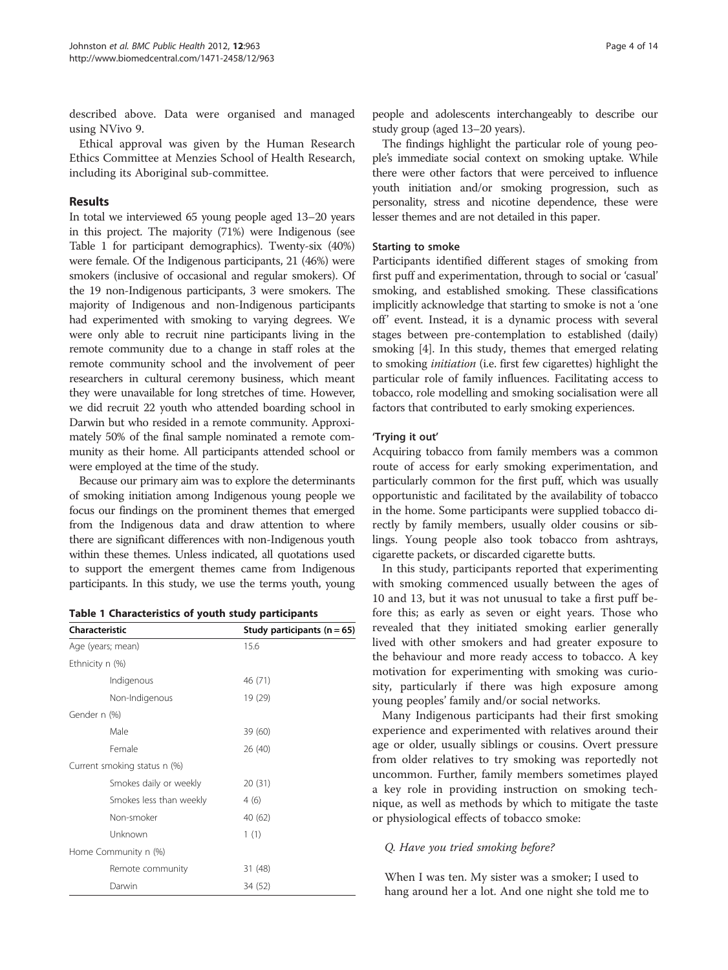described above. Data were organised and managed using NVivo 9.

Ethical approval was given by the Human Research Ethics Committee at Menzies School of Health Research, including its Aboriginal sub-committee.

#### Results

In total we interviewed 65 young people aged 13–20 years in this project. The majority (71%) were Indigenous (see Table 1 for participant demographics). Twenty-six (40%) were female. Of the Indigenous participants, 21 (46%) were smokers (inclusive of occasional and regular smokers). Of the 19 non-Indigenous participants, 3 were smokers. The majority of Indigenous and non-Indigenous participants had experimented with smoking to varying degrees. We were only able to recruit nine participants living in the remote community due to a change in staff roles at the remote community school and the involvement of peer researchers in cultural ceremony business, which meant they were unavailable for long stretches of time. However, we did recruit 22 youth who attended boarding school in Darwin but who resided in a remote community. Approximately 50% of the final sample nominated a remote community as their home. All participants attended school or were employed at the time of the study.

Because our primary aim was to explore the determinants of smoking initiation among Indigenous young people we focus our findings on the prominent themes that emerged from the Indigenous data and draw attention to where there are significant differences with non-Indigenous youth within these themes. Unless indicated, all quotations used to support the emergent themes came from Indigenous participants. In this study, we use the terms youth, young

Table 1 Characteristics of youth study participants

| Characteristic               | Study participants ( $n = 65$ ) |
|------------------------------|---------------------------------|
| Age (years; mean)            | 15.6                            |
| Ethnicity n (%)              |                                 |
| Indigenous                   | 46 (71)                         |
| Non-Indigenous               | 19 (29)                         |
| Gender n (%)                 |                                 |
| Male                         | 39 (60)                         |
| Female                       | 26 (40)                         |
| Current smoking status n (%) |                                 |
| Smokes daily or weekly       | 20(31)                          |
| Smokes less than weekly      | 4(6)                            |
| Non-smoker                   | 40 (62)                         |
| Unknown                      | 1(1)                            |
| Home Community n (%)         |                                 |
| Remote community             | 31 (48)                         |
| Darwin                       | 34 (52)                         |

people and adolescents interchangeably to describe our study group (aged 13–20 years).

The findings highlight the particular role of young people's immediate social context on smoking uptake. While there were other factors that were perceived to influence youth initiation and/or smoking progression, such as personality, stress and nicotine dependence, these were lesser themes and are not detailed in this paper.

#### Starting to smoke

Participants identified different stages of smoking from first puff and experimentation, through to social or 'casual' smoking, and established smoking. These classifications implicitly acknowledge that starting to smoke is not a 'one off' event. Instead, it is a dynamic process with several stages between pre-contemplation to established (daily) smoking [[4\]](#page-11-0). In this study, themes that emerged relating to smoking initiation (i.e. first few cigarettes) highlight the particular role of family influences. Facilitating access to tobacco, role modelling and smoking socialisation were all factors that contributed to early smoking experiences.

#### 'Trying it out'

Acquiring tobacco from family members was a common route of access for early smoking experimentation, and particularly common for the first puff, which was usually opportunistic and facilitated by the availability of tobacco in the home. Some participants were supplied tobacco directly by family members, usually older cousins or siblings. Young people also took tobacco from ashtrays, cigarette packets, or discarded cigarette butts.

In this study, participants reported that experimenting with smoking commenced usually between the ages of 10 and 13, but it was not unusual to take a first puff before this; as early as seven or eight years. Those who revealed that they initiated smoking earlier generally lived with other smokers and had greater exposure to the behaviour and more ready access to tobacco. A key motivation for experimenting with smoking was curiosity, particularly if there was high exposure among young peoples' family and/or social networks.

Many Indigenous participants had their first smoking experience and experimented with relatives around their age or older, usually siblings or cousins. Overt pressure from older relatives to try smoking was reportedly not uncommon. Further, family members sometimes played a key role in providing instruction on smoking technique, as well as methods by which to mitigate the taste or physiological effects of tobacco smoke:

#### Q. Have you tried smoking before?

When I was ten. My sister was a smoker; I used to hang around her a lot. And one night she told me to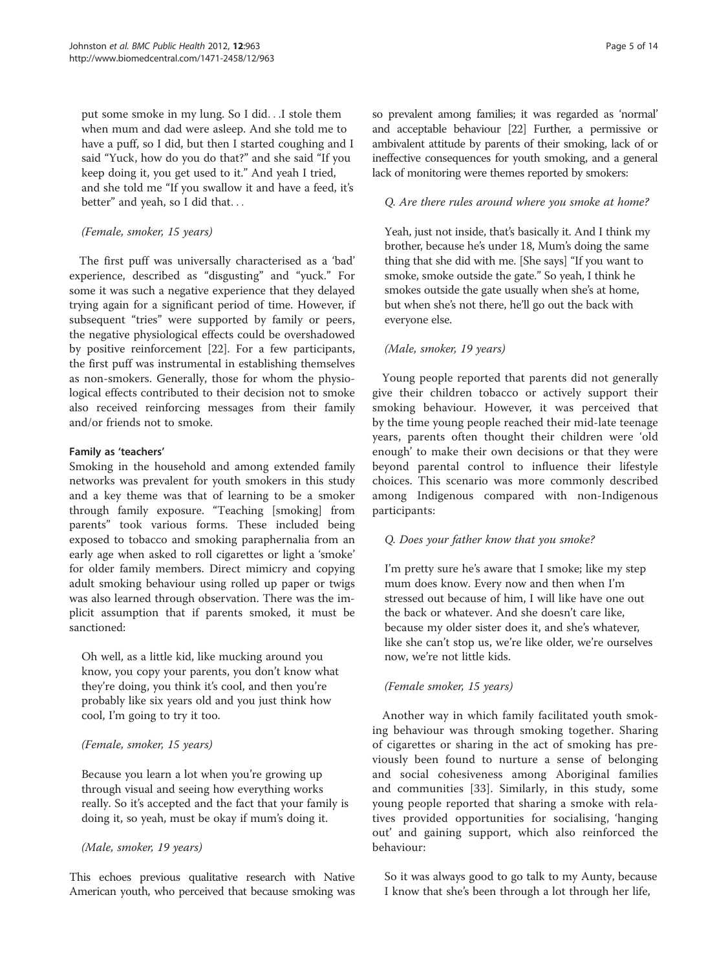put some smoke in my lung. So I did...I stole them when mum and dad were asleep. And she told me to have a puff, so I did, but then I started coughing and I said "Yuck, how do you do that?" and she said "If you keep doing it, you get used to it." And yeah I tried, and she told me "If you swallow it and have a feed, it's better" and yeah, so I did that...

#### (Female, smoker, 15 years)

The first puff was universally characterised as a 'bad' experience, described as "disgusting" and "yuck." For some it was such a negative experience that they delayed trying again for a significant period of time. However, if subsequent "tries" were supported by family or peers, the negative physiological effects could be overshadowed by positive reinforcement [\[22\]](#page-12-0). For a few participants, the first puff was instrumental in establishing themselves as non-smokers. Generally, those for whom the physiological effects contributed to their decision not to smoke also received reinforcing messages from their family and/or friends not to smoke.

#### Family as 'teachers'

Smoking in the household and among extended family networks was prevalent for youth smokers in this study and a key theme was that of learning to be a smoker through family exposure. "Teaching [smoking] from parents" took various forms. These included being exposed to tobacco and smoking paraphernalia from an early age when asked to roll cigarettes or light a 'smoke' for older family members. Direct mimicry and copying adult smoking behaviour using rolled up paper or twigs was also learned through observation. There was the implicit assumption that if parents smoked, it must be sanctioned:

Oh well, as a little kid, like mucking around you know, you copy your parents, you don't know what they're doing, you think it's cool, and then you're probably like six years old and you just think how cool, I'm going to try it too.

## (Female, smoker, 15 years)

Because you learn a lot when you're growing up through visual and seeing how everything works really. So it's accepted and the fact that your family is doing it, so yeah, must be okay if mum's doing it.

## (Male, smoker, 19 years)

This echoes previous qualitative research with Native American youth, who perceived that because smoking was so prevalent among families; it was regarded as 'normal' and acceptable behaviour [[22\]](#page-12-0) Further, a permissive or ambivalent attitude by parents of their smoking, lack of or ineffective consequences for youth smoking, and a general lack of monitoring were themes reported by smokers:

#### Q. Are there rules around where you smoke at home?

Yeah, just not inside, that's basically it. And I think my brother, because he's under 18, Mum's doing the same thing that she did with me. [She says] "If you want to smoke, smoke outside the gate." So yeah, I think he smokes outside the gate usually when she's at home, but when she's not there, he'll go out the back with everyone else.

#### (Male, smoker, 19 years)

Young people reported that parents did not generally give their children tobacco or actively support their smoking behaviour. However, it was perceived that by the time young people reached their mid-late teenage years, parents often thought their children were 'old enough' to make their own decisions or that they were beyond parental control to influence their lifestyle choices. This scenario was more commonly described among Indigenous compared with non-Indigenous participants:

## Q. Does your father know that you smoke?

I'm pretty sure he's aware that I smoke; like my step mum does know. Every now and then when I'm stressed out because of him, I will like have one out the back or whatever. And she doesn't care like, because my older sister does it, and she's whatever, like she can't stop us, we're like older, we're ourselves now, we're not little kids.

## (Female smoker, 15 years)

Another way in which family facilitated youth smoking behaviour was through smoking together. Sharing of cigarettes or sharing in the act of smoking has previously been found to nurture a sense of belonging and social cohesiveness among Aboriginal families and communities [[33](#page-12-0)]. Similarly, in this study, some young people reported that sharing a smoke with relatives provided opportunities for socialising, 'hanging out' and gaining support, which also reinforced the behaviour:

So it was always good to go talk to my Aunty, because I know that she's been through a lot through her life,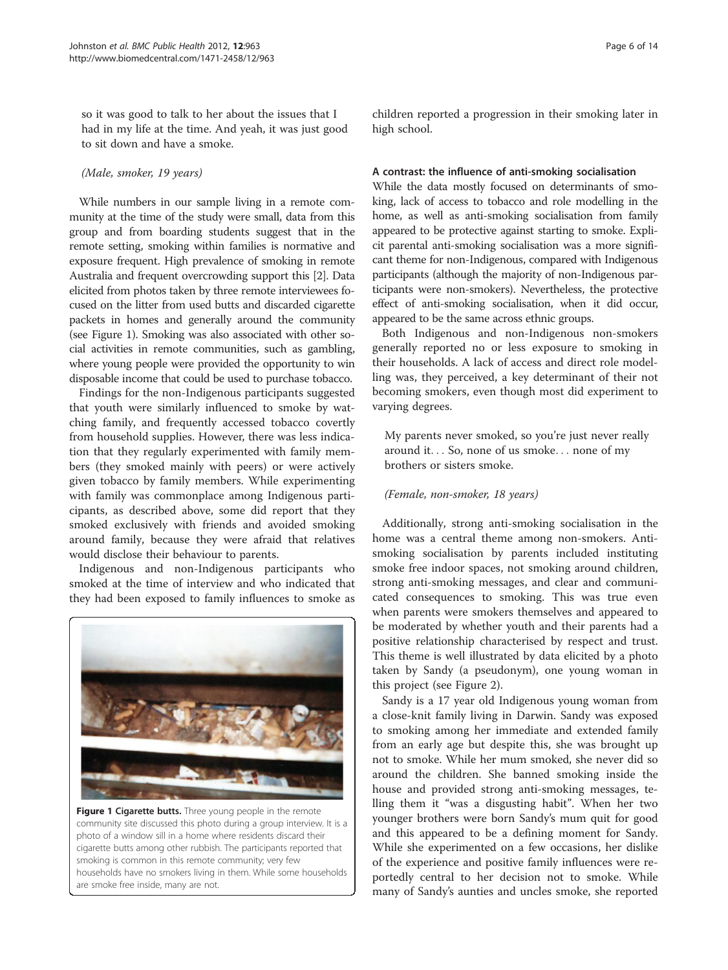so it was good to talk to her about the issues that I had in my life at the time. And yeah, it was just good to sit down and have a smoke.

#### (Male, smoker, 19 years)

While numbers in our sample living in a remote community at the time of the study were small, data from this group and from boarding students suggest that in the remote setting, smoking within families is normative and exposure frequent. High prevalence of smoking in remote Australia and frequent overcrowding support this [\[2\]](#page-11-0). Data elicited from photos taken by three remote interviewees focused on the litter from used butts and discarded cigarette packets in homes and generally around the community (see Figure 1). Smoking was also associated with other social activities in remote communities, such as gambling, where young people were provided the opportunity to win disposable income that could be used to purchase tobacco.

Findings for the non-Indigenous participants suggested that youth were similarly influenced to smoke by watching family, and frequently accessed tobacco covertly from household supplies. However, there was less indication that they regularly experimented with family members (they smoked mainly with peers) or were actively given tobacco by family members. While experimenting with family was commonplace among Indigenous participants, as described above, some did report that they smoked exclusively with friends and avoided smoking around family, because they were afraid that relatives would disclose their behaviour to parents.

Indigenous and non-Indigenous participants who smoked at the time of interview and who indicated that they had been exposed to family influences to smoke as



community site discussed this photo during a group interview. It is a photo of a window sill in a home where residents discard their cigarette butts among other rubbish. The participants reported that smoking is common in this remote community; very few households have no smokers living in them. While some households are smoke free inside, many are not.

children reported a progression in their smoking later in high school.

#### A contrast: the influence of anti-smoking socialisation

While the data mostly focused on determinants of smoking, lack of access to tobacco and role modelling in the home, as well as anti-smoking socialisation from family appeared to be protective against starting to smoke. Explicit parental anti-smoking socialisation was a more significant theme for non-Indigenous, compared with Indigenous participants (although the majority of non-Indigenous participants were non-smokers). Nevertheless, the protective effect of anti-smoking socialisation, when it did occur, appeared to be the same across ethnic groups.

Both Indigenous and non-Indigenous non-smokers generally reported no or less exposure to smoking in their households. A lack of access and direct role modelling was, they perceived, a key determinant of their not becoming smokers, even though most did experiment to varying degrees.

My parents never smoked, so you're just never really around it... So, none of us smoke... none of my brothers or sisters smoke.

#### (Female, non-smoker, 18 years)

Additionally, strong anti-smoking socialisation in the home was a central theme among non-smokers. Antismoking socialisation by parents included instituting smoke free indoor spaces, not smoking around children, strong anti-smoking messages, and clear and communicated consequences to smoking. This was true even when parents were smokers themselves and appeared to be moderated by whether youth and their parents had a positive relationship characterised by respect and trust. This theme is well illustrated by data elicited by a photo taken by Sandy (a pseudonym), one young woman in this project (see Figure [2](#page-6-0)).

Sandy is a 17 year old Indigenous young woman from a close-knit family living in Darwin. Sandy was exposed to smoking among her immediate and extended family from an early age but despite this, she was brought up not to smoke. While her mum smoked, she never did so around the children. She banned smoking inside the house and provided strong anti-smoking messages, telling them it "was a disgusting habit". When her two younger brothers were born Sandy's mum quit for good and this appeared to be a defining moment for Sandy. While she experimented on a few occasions, her dislike of the experience and positive family influences were reportedly central to her decision not to smoke. While many of Sandy's aunties and uncles smoke, she reported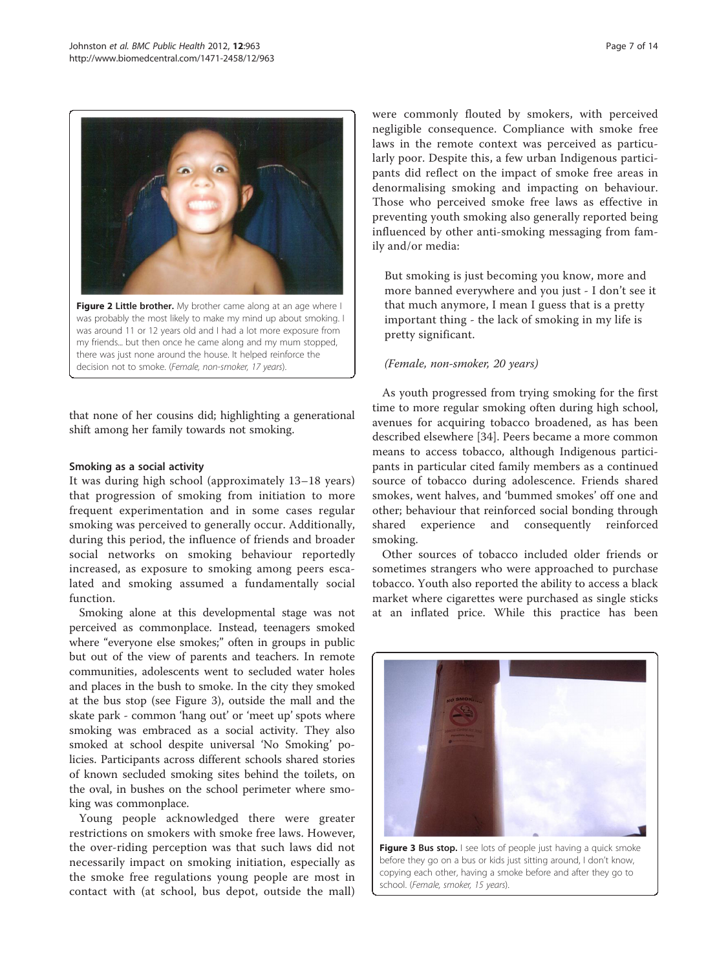<span id="page-6-0"></span>

was probably the most likely to make my mind up about smoking. I was around 11 or 12 years old and I had a lot more exposure from my friends... but then once he came along and my mum stopped, there was just none around the house. It helped reinforce the decision not to smoke. (Female, non-smoker, 17 years).

that none of her cousins did; highlighting a generational shift among her family towards not smoking.

#### Smoking as a social activity

It was during high school (approximately 13–18 years) that progression of smoking from initiation to more frequent experimentation and in some cases regular smoking was perceived to generally occur. Additionally, during this period, the influence of friends and broader social networks on smoking behaviour reportedly increased, as exposure to smoking among peers escalated and smoking assumed a fundamentally social function.

Smoking alone at this developmental stage was not perceived as commonplace. Instead, teenagers smoked where "everyone else smokes;" often in groups in public but out of the view of parents and teachers. In remote communities, adolescents went to secluded water holes and places in the bush to smoke. In the city they smoked at the bus stop (see Figure 3), outside the mall and the skate park - common 'hang out' or 'meet up' spots where smoking was embraced as a social activity. They also smoked at school despite universal 'No Smoking' policies. Participants across different schools shared stories of known secluded smoking sites behind the toilets, on the oval, in bushes on the school perimeter where smoking was commonplace.

Young people acknowledged there were greater restrictions on smokers with smoke free laws. However, the over-riding perception was that such laws did not necessarily impact on smoking initiation, especially as the smoke free regulations young people are most in contact with (at school, bus depot, outside the mall)

were commonly flouted by smokers, with perceived negligible consequence. Compliance with smoke free laws in the remote context was perceived as particularly poor. Despite this, a few urban Indigenous participants did reflect on the impact of smoke free areas in denormalising smoking and impacting on behaviour. Those who perceived smoke free laws as effective in preventing youth smoking also generally reported being influenced by other anti-smoking messaging from family and/or media:

But smoking is just becoming you know, more and more banned everywhere and you just - I don't see it that much anymore, I mean I guess that is a pretty important thing - the lack of smoking in my life is pretty significant.

#### (Female, non-smoker, 20 years)

As youth progressed from trying smoking for the first time to more regular smoking often during high school, avenues for acquiring tobacco broadened, as has been described elsewhere [\[34](#page-12-0)]. Peers became a more common means to access tobacco, although Indigenous participants in particular cited family members as a continued source of tobacco during adolescence. Friends shared smokes, went halves, and 'bummed smokes' off one and other; behaviour that reinforced social bonding through shared experience and consequently reinforced smoking.

Other sources of tobacco included older friends or sometimes strangers who were approached to purchase tobacco. Youth also reported the ability to access a black market where cigarettes were purchased as single sticks at an inflated price. While this practice has been



Figure 3 Bus stop. I see lots of people just having a quick smoke before they go on a bus or kids just sitting around, I don't know, copying each other, having a smoke before and after they go to school. (Female, smoker, 15 years).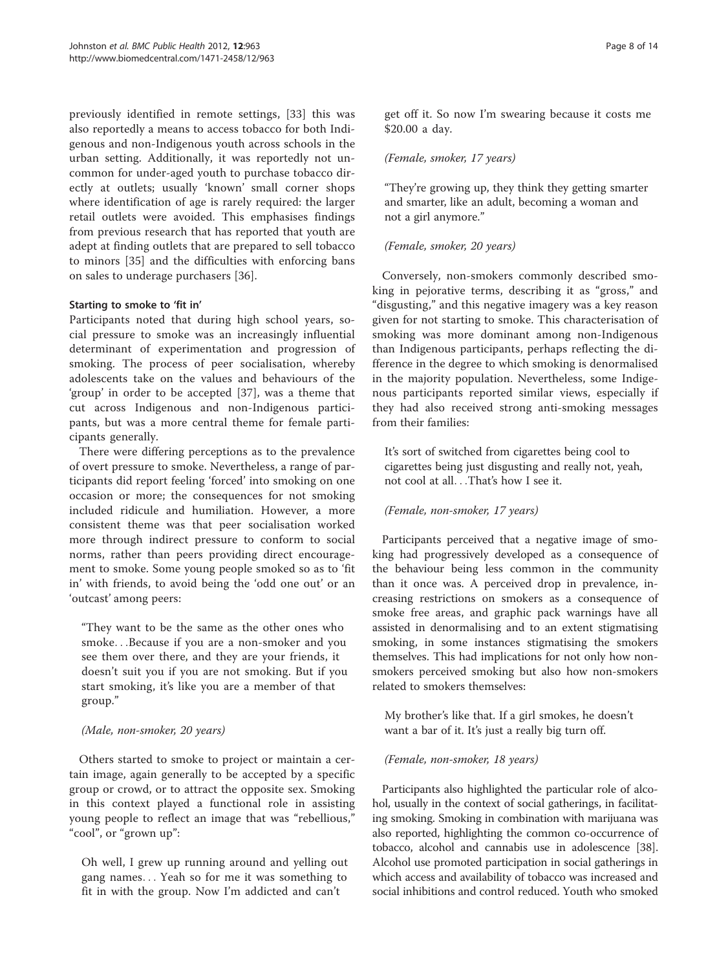previously identified in remote settings, [\[33](#page-12-0)] this was also reportedly a means to access tobacco for both Indigenous and non-Indigenous youth across schools in the urban setting. Additionally, it was reportedly not uncommon for under-aged youth to purchase tobacco directly at outlets; usually 'known' small corner shops where identification of age is rarely required: the larger retail outlets were avoided. This emphasises findings from previous research that has reported that youth are adept at finding outlets that are prepared to sell tobacco to minors [[35](#page-12-0)] and the difficulties with enforcing bans on sales to underage purchasers [[36\]](#page-12-0).

#### Starting to smoke to 'fit in'

Participants noted that during high school years, social pressure to smoke was an increasingly influential determinant of experimentation and progression of smoking. The process of peer socialisation, whereby adolescents take on the values and behaviours of the 'group' in order to be accepted [[37](#page-12-0)], was a theme that cut across Indigenous and non-Indigenous participants, but was a more central theme for female participants generally.

There were differing perceptions as to the prevalence of overt pressure to smoke. Nevertheless, a range of participants did report feeling 'forced' into smoking on one occasion or more; the consequences for not smoking included ridicule and humiliation. However, a more consistent theme was that peer socialisation worked more through indirect pressure to conform to social norms, rather than peers providing direct encouragement to smoke. Some young people smoked so as to 'fit in' with friends, to avoid being the 'odd one out' or an 'outcast' among peers:

"They want to be the same as the other ones who smoke...Because if you are a non-smoker and you see them over there, and they are your friends, it doesn't suit you if you are not smoking. But if you start smoking, it's like you are a member of that group."

## (Male, non-smoker, 20 years)

Others started to smoke to project or maintain a certain image, again generally to be accepted by a specific group or crowd, or to attract the opposite sex. Smoking in this context played a functional role in assisting young people to reflect an image that was "rebellious," "cool", or "grown up":

Oh well, I grew up running around and yelling out gang names... Yeah so for me it was something to fit in with the group. Now I'm addicted and can't

get off it. So now I'm swearing because it costs me \$20.00 a day.

#### (Female, smoker, 17 years)

"They're growing up, they think they getting smarter and smarter, like an adult, becoming a woman and not a girl anymore."

#### (Female, smoker, 20 years)

Conversely, non-smokers commonly described smoking in pejorative terms, describing it as "gross," and "disgusting," and this negative imagery was a key reason given for not starting to smoke. This characterisation of smoking was more dominant among non-Indigenous than Indigenous participants, perhaps reflecting the difference in the degree to which smoking is denormalised in the majority population. Nevertheless, some Indigenous participants reported similar views, especially if they had also received strong anti-smoking messages from their families:

It's sort of switched from cigarettes being cool to cigarettes being just disgusting and really not, yeah, not cool at all...That's how I see it.

## (Female, non-smoker, 17 years)

Participants perceived that a negative image of smoking had progressively developed as a consequence of the behaviour being less common in the community than it once was. A perceived drop in prevalence, increasing restrictions on smokers as a consequence of smoke free areas, and graphic pack warnings have all assisted in denormalising and to an extent stigmatising smoking, in some instances stigmatising the smokers themselves. This had implications for not only how nonsmokers perceived smoking but also how non-smokers related to smokers themselves:

My brother's like that. If a girl smokes, he doesn't want a bar of it. It's just a really big turn off.

## (Female, non-smoker, 18 years)

Participants also highlighted the particular role of alcohol, usually in the context of social gatherings, in facilitating smoking. Smoking in combination with marijuana was also reported, highlighting the common co-occurrence of tobacco, alcohol and cannabis use in adolescence [[38](#page-12-0)]. Alcohol use promoted participation in social gatherings in which access and availability of tobacco was increased and social inhibitions and control reduced. Youth who smoked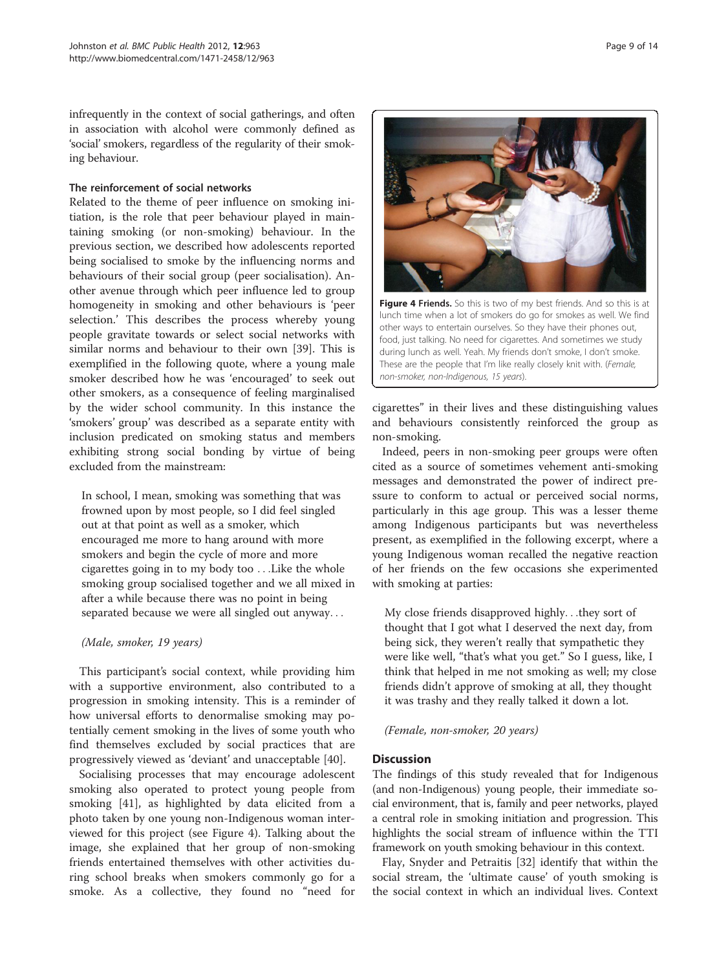infrequently in the context of social gatherings, and often in association with alcohol were commonly defined as 'social' smokers, regardless of the regularity of their smoking behaviour.

#### The reinforcement of social networks

Related to the theme of peer influence on smoking initiation, is the role that peer behaviour played in maintaining smoking (or non-smoking) behaviour. In the previous section, we described how adolescents reported being socialised to smoke by the influencing norms and behaviours of their social group (peer socialisation). Another avenue through which peer influence led to group homogeneity in smoking and other behaviours is 'peer selection.' This describes the process whereby young people gravitate towards or select social networks with similar norms and behaviour to their own [[39\]](#page-12-0). This is exemplified in the following quote, where a young male smoker described how he was 'encouraged' to seek out other smokers, as a consequence of feeling marginalised by the wider school community. In this instance the 'smokers' group' was described as a separate entity with inclusion predicated on smoking status and members exhibiting strong social bonding by virtue of being excluded from the mainstream:

In school, I mean, smoking was something that was frowned upon by most people, so I did feel singled out at that point as well as a smoker, which encouraged me more to hang around with more smokers and begin the cycle of more and more cigarettes going in to my body too ...Like the whole smoking group socialised together and we all mixed in after a while because there was no point in being separated because we were all singled out anyway...

#### (Male, smoker, 19 years)

This participant's social context, while providing him with a supportive environment, also contributed to a progression in smoking intensity. This is a reminder of how universal efforts to denormalise smoking may potentially cement smoking in the lives of some youth who find themselves excluded by social practices that are progressively viewed as 'deviant' and unacceptable [[40\]](#page-12-0).

Socialising processes that may encourage adolescent smoking also operated to protect young people from smoking [\[41](#page-12-0)], as highlighted by data elicited from a photo taken by one young non-Indigenous woman interviewed for this project (see Figure 4). Talking about the image, she explained that her group of non-smoking friends entertained themselves with other activities during school breaks when smokers commonly go for a smoke. As a collective, they found no "need for



Figure 4 Friends. So this is two of my best friends. And so this is at lunch time when a lot of smokers do go for smokes as well. We find other ways to entertain ourselves. So they have their phones out, food, just talking. No need for cigarettes. And sometimes we study during lunch as well. Yeah. My friends don't smoke, I don't smoke. These are the people that I'm like really closely knit with. (Female, non-smoker, non-Indigenous, 15 years).

cigarettes" in their lives and these distinguishing values and behaviours consistently reinforced the group as non-smoking.

Indeed, peers in non-smoking peer groups were often cited as a source of sometimes vehement anti-smoking messages and demonstrated the power of indirect pressure to conform to actual or perceived social norms, particularly in this age group. This was a lesser theme among Indigenous participants but was nevertheless present, as exemplified in the following excerpt, where a young Indigenous woman recalled the negative reaction of her friends on the few occasions she experimented with smoking at parties:

My close friends disapproved highly...they sort of thought that I got what I deserved the next day, from being sick, they weren't really that sympathetic they were like well, "that's what you get." So I guess, like, I think that helped in me not smoking as well; my close friends didn't approve of smoking at all, they thought it was trashy and they really talked it down a lot.

(Female, non-smoker, 20 years)

#### **Discussion**

The findings of this study revealed that for Indigenous (and non-Indigenous) young people, their immediate social environment, that is, family and peer networks, played a central role in smoking initiation and progression. This highlights the social stream of influence within the TTI framework on youth smoking behaviour in this context.

Flay, Snyder and Petraitis [[32](#page-12-0)] identify that within the social stream, the 'ultimate cause' of youth smoking is the social context in which an individual lives. Context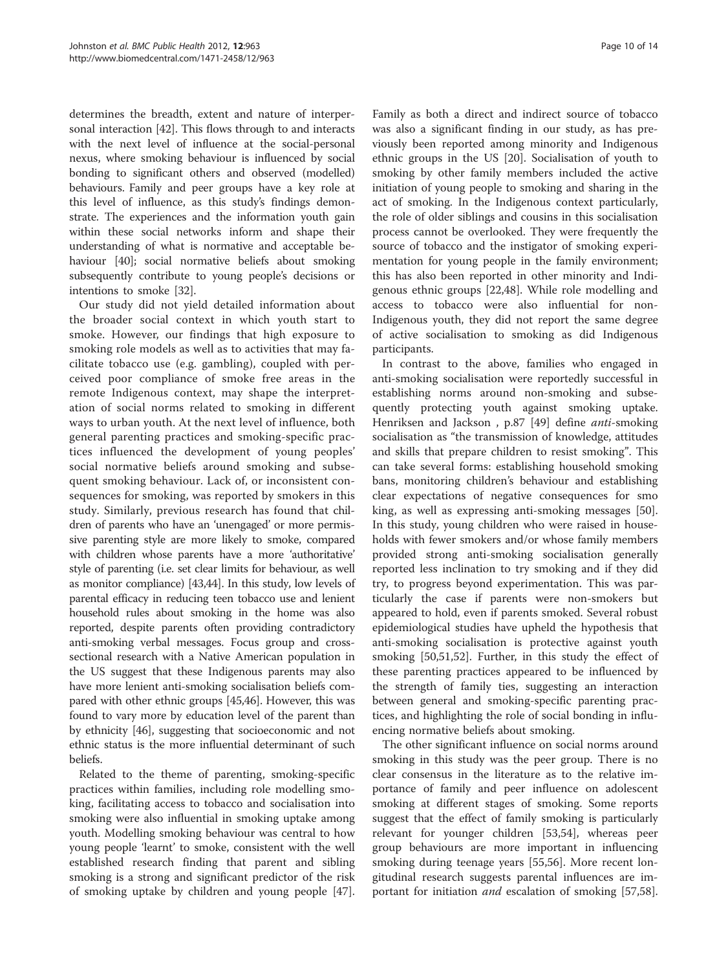determines the breadth, extent and nature of interpersonal interaction [[42](#page-12-0)]. This flows through to and interacts with the next level of influence at the social-personal nexus, where smoking behaviour is influenced by social bonding to significant others and observed (modelled) behaviours. Family and peer groups have a key role at this level of influence, as this study's findings demonstrate. The experiences and the information youth gain within these social networks inform and shape their understanding of what is normative and acceptable behaviour [[40](#page-12-0)]; social normative beliefs about smoking subsequently contribute to young people's decisions or intentions to smoke [[32](#page-12-0)].

Our study did not yield detailed information about the broader social context in which youth start to smoke. However, our findings that high exposure to smoking role models as well as to activities that may facilitate tobacco use (e.g. gambling), coupled with perceived poor compliance of smoke free areas in the remote Indigenous context, may shape the interpretation of social norms related to smoking in different ways to urban youth. At the next level of influence, both general parenting practices and smoking-specific practices influenced the development of young peoples' social normative beliefs around smoking and subsequent smoking behaviour. Lack of, or inconsistent consequences for smoking, was reported by smokers in this study. Similarly, previous research has found that children of parents who have an 'unengaged' or more permissive parenting style are more likely to smoke, compared with children whose parents have a more 'authoritative' style of parenting (i.e. set clear limits for behaviour, as well as monitor compliance) [\[43,44](#page-12-0)]. In this study, low levels of parental efficacy in reducing teen tobacco use and lenient household rules about smoking in the home was also reported, despite parents often providing contradictory anti-smoking verbal messages. Focus group and crosssectional research with a Native American population in the US suggest that these Indigenous parents may also have more lenient anti-smoking socialisation beliefs compared with other ethnic groups [\[45,46\]](#page-12-0). However, this was found to vary more by education level of the parent than by ethnicity [\[46\]](#page-12-0), suggesting that socioeconomic and not ethnic status is the more influential determinant of such beliefs.

Related to the theme of parenting, smoking-specific practices within families, including role modelling smoking, facilitating access to tobacco and socialisation into smoking were also influential in smoking uptake among youth. Modelling smoking behaviour was central to how young people 'learnt' to smoke, consistent with the well established research finding that parent and sibling smoking is a strong and significant predictor of the risk of smoking uptake by children and young people [\[47](#page-12-0)].

Family as both a direct and indirect source of tobacco was also a significant finding in our study, as has previously been reported among minority and Indigenous ethnic groups in the US [[20](#page-12-0)]. Socialisation of youth to smoking by other family members included the active initiation of young people to smoking and sharing in the act of smoking. In the Indigenous context particularly, the role of older siblings and cousins in this socialisation process cannot be overlooked. They were frequently the source of tobacco and the instigator of smoking experimentation for young people in the family environment; this has also been reported in other minority and Indigenous ethnic groups [[22](#page-12-0),[48](#page-12-0)]. While role modelling and access to tobacco were also influential for non-Indigenous youth, they did not report the same degree of active socialisation to smoking as did Indigenous participants.

In contrast to the above, families who engaged in anti-smoking socialisation were reportedly successful in establishing norms around non-smoking and subsequently protecting youth against smoking uptake. Henriksen and Jackson , p.87 [\[49](#page-12-0)] define anti-smoking socialisation as "the transmission of knowledge, attitudes and skills that prepare children to resist smoking". This can take several forms: establishing household smoking bans, monitoring children's behaviour and establishing clear expectations of negative consequences for smo king, as well as expressing anti-smoking messages [\[50](#page-12-0)]. In this study, young children who were raised in households with fewer smokers and/or whose family members provided strong anti-smoking socialisation generally reported less inclination to try smoking and if they did try, to progress beyond experimentation. This was particularly the case if parents were non-smokers but appeared to hold, even if parents smoked. Several robust epidemiological studies have upheld the hypothesis that anti-smoking socialisation is protective against youth smoking [\[50,51,52\]](#page-12-0). Further, in this study the effect of these parenting practices appeared to be influenced by the strength of family ties, suggesting an interaction between general and smoking-specific parenting practices, and highlighting the role of social bonding in influencing normative beliefs about smoking.

The other significant influence on social norms around smoking in this study was the peer group. There is no clear consensus in the literature as to the relative importance of family and peer influence on adolescent smoking at different stages of smoking. Some reports suggest that the effect of family smoking is particularly relevant for younger children [[53,54\]](#page-12-0), whereas peer group behaviours are more important in influencing smoking during teenage years [[55,56\]](#page-13-0). More recent longitudinal research suggests parental influences are im-portant for initiation and escalation of smoking [\[57,58](#page-13-0)].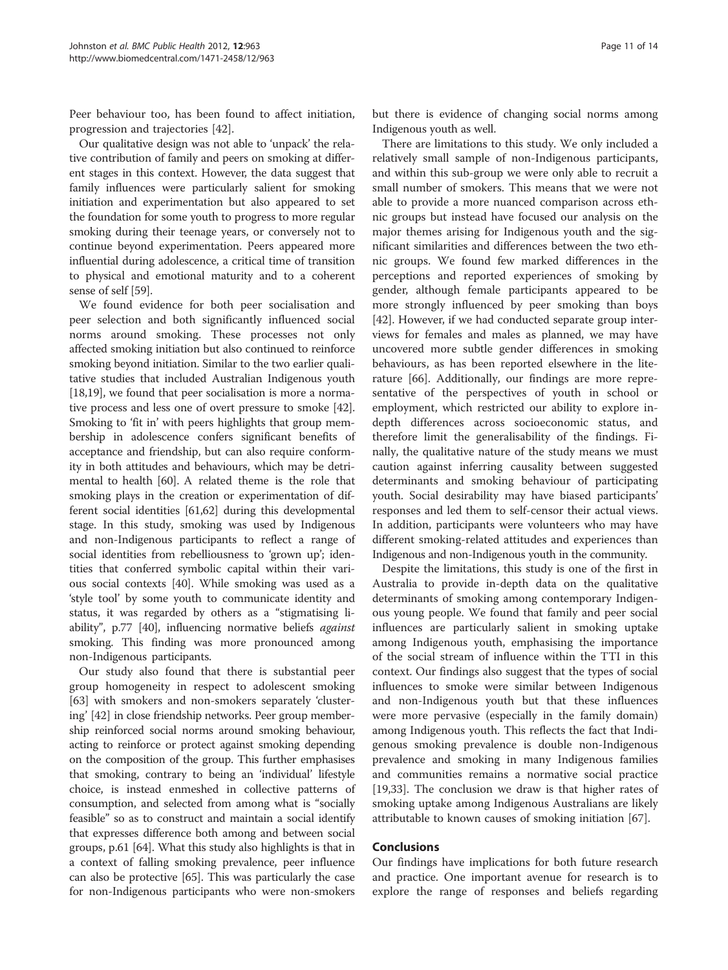Peer behaviour too, has been found to affect initiation, progression and trajectories [\[42](#page-12-0)].

Our qualitative design was not able to 'unpack' the relative contribution of family and peers on smoking at different stages in this context. However, the data suggest that family influences were particularly salient for smoking initiation and experimentation but also appeared to set the foundation for some youth to progress to more regular smoking during their teenage years, or conversely not to continue beyond experimentation. Peers appeared more influential during adolescence, a critical time of transition to physical and emotional maturity and to a coherent sense of self [\[59\]](#page-13-0).

We found evidence for both peer socialisation and peer selection and both significantly influenced social norms around smoking. These processes not only affected smoking initiation but also continued to reinforce smoking beyond initiation. Similar to the two earlier qualitative studies that included Australian Indigenous youth [[18,19](#page-12-0)], we found that peer socialisation is more a normative process and less one of overt pressure to smoke [[42](#page-12-0)]. Smoking to 'fit in' with peers highlights that group membership in adolescence confers significant benefits of acceptance and friendship, but can also require conformity in both attitudes and behaviours, which may be detrimental to health [[60](#page-13-0)]. A related theme is the role that smoking plays in the creation or experimentation of different social identities [\[61,62\]](#page-13-0) during this developmental stage. In this study, smoking was used by Indigenous and non-Indigenous participants to reflect a range of social identities from rebelliousness to 'grown up'; identities that conferred symbolic capital within their various social contexts [[40](#page-12-0)]. While smoking was used as a 'style tool' by some youth to communicate identity and status, it was regarded by others as a "stigmatising liability", p.77 [\[40](#page-12-0)], influencing normative beliefs against smoking. This finding was more pronounced among non-Indigenous participants.

Our study also found that there is substantial peer group homogeneity in respect to adolescent smoking [[63\]](#page-13-0) with smokers and non-smokers separately 'clustering' [\[42](#page-12-0)] in close friendship networks. Peer group membership reinforced social norms around smoking behaviour, acting to reinforce or protect against smoking depending on the composition of the group. This further emphasises that smoking, contrary to being an 'individual' lifestyle choice, is instead enmeshed in collective patterns of consumption, and selected from among what is "socially feasible" so as to construct and maintain a social identify that expresses difference both among and between social groups, p.61 [[64](#page-13-0)]. What this study also highlights is that in a context of falling smoking prevalence, peer influence can also be protective [[65](#page-13-0)]. This was particularly the case for non-Indigenous participants who were non-smokers

but there is evidence of changing social norms among Indigenous youth as well.

There are limitations to this study. We only included a relatively small sample of non-Indigenous participants, and within this sub-group we were only able to recruit a small number of smokers. This means that we were not able to provide a more nuanced comparison across ethnic groups but instead have focused our analysis on the major themes arising for Indigenous youth and the significant similarities and differences between the two ethnic groups. We found few marked differences in the perceptions and reported experiences of smoking by gender, although female participants appeared to be more strongly influenced by peer smoking than boys [[42\]](#page-12-0). However, if we had conducted separate group interviews for females and males as planned, we may have uncovered more subtle gender differences in smoking behaviours, as has been reported elsewhere in the literature [\[66](#page-13-0)]. Additionally, our findings are more representative of the perspectives of youth in school or employment, which restricted our ability to explore indepth differences across socioeconomic status, and therefore limit the generalisability of the findings. Finally, the qualitative nature of the study means we must caution against inferring causality between suggested determinants and smoking behaviour of participating youth. Social desirability may have biased participants' responses and led them to self-censor their actual views. In addition, participants were volunteers who may have different smoking-related attitudes and experiences than Indigenous and non-Indigenous youth in the community.

Despite the limitations, this study is one of the first in Australia to provide in-depth data on the qualitative determinants of smoking among contemporary Indigenous young people. We found that family and peer social influences are particularly salient in smoking uptake among Indigenous youth, emphasising the importance of the social stream of influence within the TTI in this context. Our findings also suggest that the types of social influences to smoke were similar between Indigenous and non-Indigenous youth but that these influences were more pervasive (especially in the family domain) among Indigenous youth. This reflects the fact that Indigenous smoking prevalence is double non-Indigenous prevalence and smoking in many Indigenous families and communities remains a normative social practice [[19,33\]](#page-12-0). The conclusion we draw is that higher rates of smoking uptake among Indigenous Australians are likely attributable to known causes of smoking initiation [\[67\]](#page-13-0).

#### Conclusions

Our findings have implications for both future research and practice. One important avenue for research is to explore the range of responses and beliefs regarding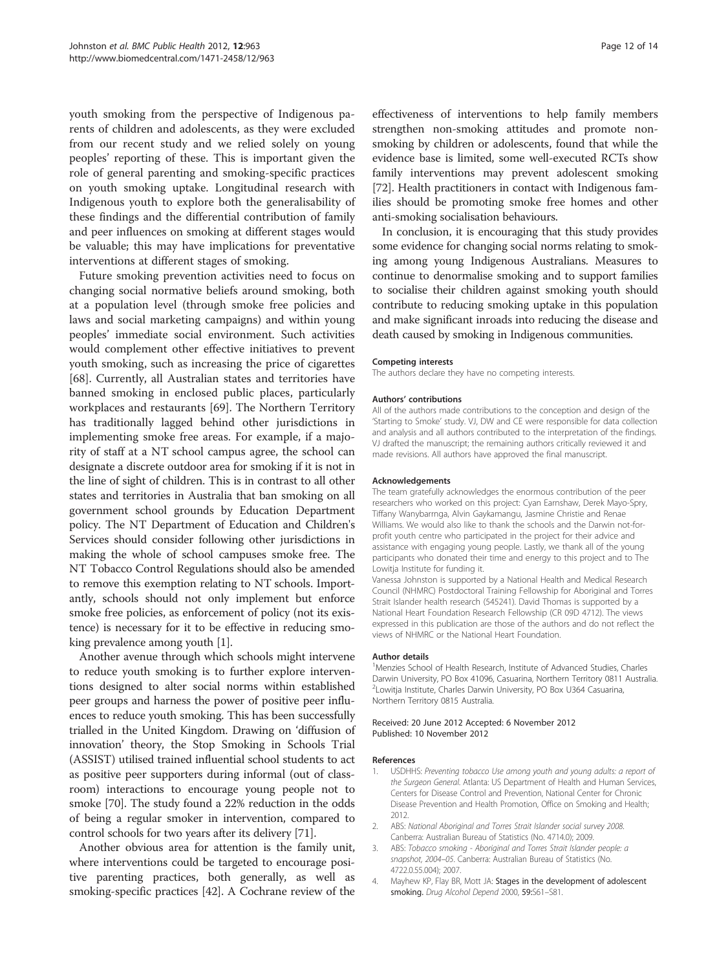<span id="page-11-0"></span>youth smoking from the perspective of Indigenous parents of children and adolescents, as they were excluded from our recent study and we relied solely on young peoples' reporting of these. This is important given the role of general parenting and smoking-specific practices on youth smoking uptake. Longitudinal research with Indigenous youth to explore both the generalisability of these findings and the differential contribution of family and peer influences on smoking at different stages would be valuable; this may have implications for preventative interventions at different stages of smoking.

Future smoking prevention activities need to focus on changing social normative beliefs around smoking, both at a population level (through smoke free policies and laws and social marketing campaigns) and within young peoples' immediate social environment. Such activities would complement other effective initiatives to prevent youth smoking, such as increasing the price of cigarettes [[68\]](#page-13-0). Currently, all Australian states and territories have banned smoking in enclosed public places, particularly workplaces and restaurants [[69](#page-13-0)]. The Northern Territory has traditionally lagged behind other jurisdictions in implementing smoke free areas. For example, if a majority of staff at a NT school campus agree, the school can designate a discrete outdoor area for smoking if it is not in the line of sight of children. This is in contrast to all other states and territories in Australia that ban smoking on all government school grounds by Education Department policy. The NT Department of Education and Children's Services should consider following other jurisdictions in making the whole of school campuses smoke free. The NT Tobacco Control Regulations should also be amended to remove this exemption relating to NT schools. Importantly, schools should not only implement but enforce smoke free policies, as enforcement of policy (not its existence) is necessary for it to be effective in reducing smoking prevalence among youth [1].

Another avenue through which schools might intervene to reduce youth smoking is to further explore interventions designed to alter social norms within established peer groups and harness the power of positive peer influences to reduce youth smoking. This has been successfully trialled in the United Kingdom. Drawing on 'diffusion of innovation' theory, the Stop Smoking in Schools Trial (ASSIST) utilised trained influential school students to act as positive peer supporters during informal (out of classroom) interactions to encourage young people not to smoke [[70](#page-13-0)]. The study found a 22% reduction in the odds of being a regular smoker in intervention, compared to control schools for two years after its delivery [\[71\]](#page-13-0).

Another obvious area for attention is the family unit, where interventions could be targeted to encourage positive parenting practices, both generally, as well as smoking-specific practices [\[42\]](#page-12-0). A Cochrane review of the

effectiveness of interventions to help family members strengthen non-smoking attitudes and promote nonsmoking by children or adolescents, found that while the evidence base is limited, some well-executed RCTs show family interventions may prevent adolescent smoking [[72](#page-13-0)]. Health practitioners in contact with Indigenous families should be promoting smoke free homes and other anti-smoking socialisation behaviours.

In conclusion, it is encouraging that this study provides some evidence for changing social norms relating to smoking among young Indigenous Australians. Measures to continue to denormalise smoking and to support families to socialise their children against smoking youth should contribute to reducing smoking uptake in this population and make significant inroads into reducing the disease and death caused by smoking in Indigenous communities.

#### Competing interests

The authors declare they have no competing interests.

#### Authors' contributions

All of the authors made contributions to the conception and design of the 'Starting to Smoke' study. VJ, DW and CE were responsible for data collection and analysis and all authors contributed to the interpretation of the findings. VJ drafted the manuscript; the remaining authors critically reviewed it and made revisions. All authors have approved the final manuscript.

#### Acknowledgements

The team gratefully acknowledges the enormous contribution of the peer researchers who worked on this project: Cyan Earnshaw, Derek Mayo-Spry, Tiffany Wanybarrnga, Alvin Gaykamangu, Jasmine Christie and Renae Williams. We would also like to thank the schools and the Darwin not-forprofit youth centre who participated in the project for their advice and assistance with engaging young people. Lastly, we thank all of the young participants who donated their time and energy to this project and to The Lowitja Institute for funding it.

Vanessa Johnston is supported by a National Health and Medical Research Council (NHMRC) Postdoctoral Training Fellowship for Aboriginal and Torres Strait Islander health research (545241). David Thomas is supported by a National Heart Foundation Research Fellowship (CR 09D 4712). The views expressed in this publication are those of the authors and do not reflect the views of NHMRC or the National Heart Foundation.

#### Author details

<sup>1</sup>Menzies School of Health Research, Institute of Advanced Studies, Charles Darwin University, PO Box 41096, Casuarina, Northern Territory 0811 Australia. 2 Lowitja Institute, Charles Darwin University, PO Box U364 Casuarina, Northern Territory 0815 Australia.

#### Received: 20 June 2012 Accepted: 6 November 2012 Published: 10 November 2012

#### References

- USDHHS: Preventing tobacco Use among youth and young adults: a report of the Surgeon General. Atlanta: US Department of Health and Human Services, Centers for Disease Control and Prevention, National Center for Chronic Disease Prevention and Health Promotion, Office on Smoking and Health; 2012.
- 2. ABS: National Aboriginal and Torres Strait Islander social survey 2008. Canberra: Australian Bureau of Statistics (No. 4714.0); 2009.
- 3. ABS: Tobacco smoking Aboriginal and Torres Strait Islander people: a snapshot, 2004–05. Canberra: Australian Bureau of Statistics (No. 4722.0.55.004); 2007.
- 4. Mayhew KP, Flay BR, Mott JA: Stages in the development of adolescent smoking. Drug Alcohol Depend 2000, 59:S61–S81.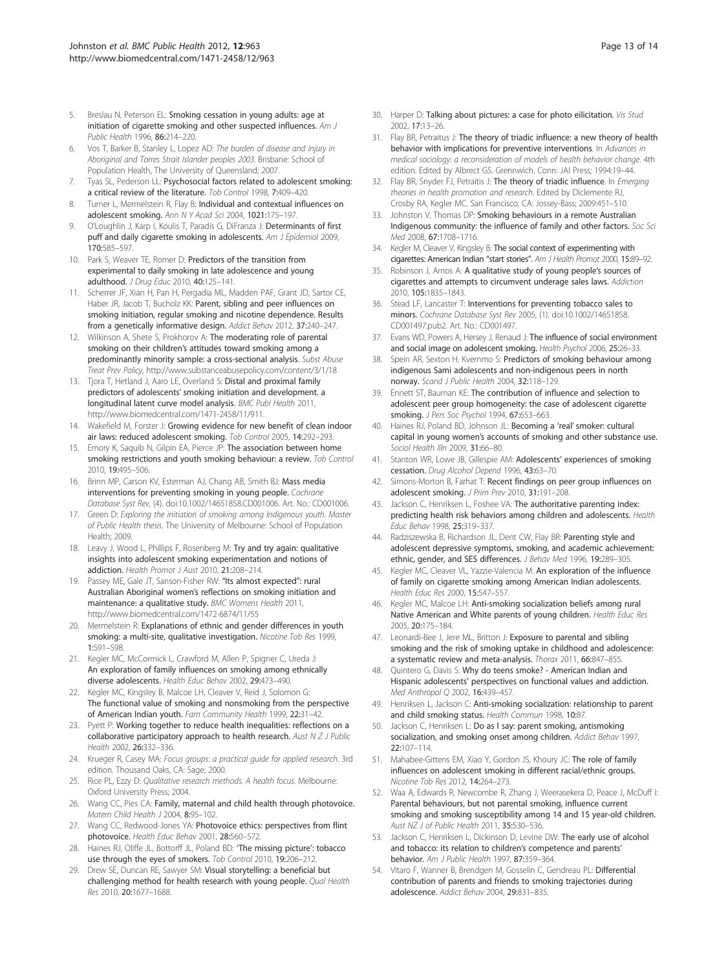- <span id="page-12-0"></span>5. Breslau N, Peterson EL: Smoking cessation in young adults: age at initiation of cigarette smoking and other suspected influences. Am J Public Health 1996, 86:214–220.
- Vos T, Barker B, Stanley L, Lopez AD: The burden of disease and injury in Aboriginal and Torres Strait Islander peoples 2003. Brisbane: School of Population Health, The University of Queensland; 2007.
- 7. Tyas SL, Pederson LL: Psychosocial factors related to adolescent smoking: a critical review of the literature. Tob Control 1998, 7:409–420.
- 8. Turner L, Mermelstein R, Flay B: Individual and contextual influences on adolescent smoking. Ann N Y Acad Sci 2004, 1021:175–197.
- O'Loughlin J, Karp I, Koulis T, Paradis G, DiFranza J: Determinants of first puff and daily cigarette smoking in adolescents. Am J Epidemiol 2009, 170:585–597.
- 10. Park S, Weaver TE, Romer D: Predictors of the transition from experimental to daily smoking in late adolescence and young adulthood. J Drug Educ 2010, 40:125–141.
- 11. Scherrer JF, Xian H, Pan H, Pergadia ML, Madden PAF, Grant JD, Sartor CE, Haber JR, Jacob T, Bucholz KK: Parent, sibling and peer influences on smoking initiation, regular smoking and nicotine dependence. Results from a genetically informative design. Addict Behav 2012, 37:240–247.
- 12. Wilkinson A, Shete S, Prokhorov A: The moderating role of parental smoking on their children's attitudes toward smoking among a predominantly minority sample: a cross-sectional analysis. Subst Abuse Treat Prev Policy,<http://www.substanceabusepolicy.com/content/3/1/18>
- 13. Tjora T, Hetland J, Aaro LE, Overland S: Distal and proximal family predictors of adolescents' smoking initiation and development. a longitudinal latent curve model analysis. BMC Publ Health 2011, <http://www.biomedcentral.com/1471-2458/11/911>.
- 14. Wakefield M, Forster J: Growing evidence for new benefit of clean indoor air laws: reduced adolescent smoking. Tob Control 2005, 14:292–293.
- 15. Emory K, Saquib N, Gilpin EA, Pierce JP: The association between home smoking restrictions and youth smoking behaviour: a review. Tob Control 2010, 19:495–506.
- 16. Brinn MP, Carson KV, Esterman AJ, Chang AB, Smith BJ: Mass media interventions for preventing smoking in young people. Cochrane Database Syst Rev, (4). doi[:10.1002/14651858.CD001006.](http://dx.doi.org/10.1002/14651858.CD001006) Art. No.: CD001006.
- 17. Green D: Exploring the initiation of smoking among Indigenous youth. Master of Public Health thesis. The University of Melbourne: School of Population Health; 2009.
- 18. Leavy J, Wood L, Phillips F, Rosenberg M: Try and try again: qualitative insights into adolescent smoking experimentation and notions of addiction. Health Promot J Aust 2010, 21:208–214.
- 19. Passey ME, Gale JT, Sanson-Fisher RW: "Its almost expected": rural Australian Aboriginal women's reflections on smoking initiation and maintenance: a qualitative study. BMC Womens Health 2011, <http://www.biomedcentral.com/1472-6874/11/55>
- 20. Mermelstein R: Explanations of ethnic and gender differences in youth smoking: a multi-site, qualitative investigation. Nicotine Tob Res 1999, 1:S91–S98.
- 21. Kegler MC, McCormick L, Crawford M, Allen P, Spigner C, Ureda J: An exploration of family influences on smoking among ethnically diverse adolescents. Health Educ Behav 2002, 29:473–490.
- 22. Kegler MC, Kingsley B, Malcoe LH, Cleaver V, Reid J, Solomon G: The functional value of smoking and nonsmoking from the perspective of American Indian youth. Fam Community Health 1999, 22:31–42.
- 23. Pyett P: Working together to reduce health inequalities: reflections on a collaborative participatory approach to health research. Aust  $N Z J$  Public Health 2002, 26:332–336.
- 24. Krueger R, Casey MA: Focus groups: a practical guide for applied research. 3rd edition. Thousand Oaks, CA: Sage: 2000.
- 25. Rice PL, Ezzy D: Qualitative research methods. A health focus. Melbourne: Oxford University Press; 2004.
- 26. Wang CC, Pies CA: Family, maternal and child health through photovoice. Matern Child Health J 2004, 8:95–102.
- 27. Wang CC, Redwood-Jones YA: Photovoice ethics: perspectives from flint photovoice. Health Educ Behav 2001, 28:560–572.
- 28. Haines RJ, Oliffe JL, Bottorff JL, Poland BD: 'The missing picture': tobacco use through the eyes of smokers. Tob Control 2010, 19:206–212.
- 29. Drew SE, Duncan RE, Sawyer SM: Visual storytelling: a beneficial but challenging method for health research with young people. Qual Health Res 2010, 20:1677–1688.
- 30. Harper D: Talking about pictures: a case for photo eilicitation. Vis Stud 2002, 17:13–26.
- 31. Flay BR, Petraitus J: The theory of triadic influence: a new theory of health behavior with implications for preventive interventions. In Advances in medical sociology: a reconsideration of models of health behavior change. 4th edition. Edited by Albrect GS. Grennwich, Conn: JAI Press; 1994:19–44.
- 32. Flay BR, Snyder FJ, Petraitis J: The theory of triadic influence. In Emerging theories in health promotion and research. Edited by Diclemente RJ, Crosby RA, Kegler MC. San Francisco, CA: Jossey-Bass; 2009:451–510.
- 33. Johnston V, Thomas DP: Smoking behaviours in a remote Australian Indigenous community: the influence of family and other factors. Soc Sci Med 2008, 67:1708–1716.
- 34. Kegler M, Cleaver V, Kingsley B: The social context of experimenting with cigarettes: American Indian "start stories". Am J Health Promot 2000, 15:89–92.
- 35. Robinson J, Amos A: A qualitative study of young people's sources of cigarettes and attempts to circumvent underage sales laws. Addiction 2010, 105:1835–1843.
- 36. Stead LF, Lancaster T: Interventions for preventing tobacco sales to minors. Cochrane Database Syst Rev 2005, (1). doi[:10.1002/14651858.](http://dx.doi.org/10.1002/14651858.CD001497.pub2) [CD001497.pub2.](http://dx.doi.org/10.1002/14651858.CD001497.pub2) Art. No.: CD001497.
- 37. Evans WD, Powers A, Hersey J, Renaud J: The influence of social environment and social image on adolescent smoking. Health Psychol 2006, 25:26-33.
- 38. Spein AR, Sexton H, Kvernmo S: Predictors of smoking behaviour among indigenous Sami adolescents and non-indigenous peers in north norway. Scand J Public Health 2004, 32:118–129.
- 39. Ennett ST, Bauman KE: The contribution of influence and selection to adolescent peer group homogeneity: the case of adolescent cigarette smoking. J Pers Soc Psychol 1994, 67:653-663.
- 40. Haines RJ, Poland BD, Johnson JL: Becoming a 'real' smoker: cultural capital in young women's accounts of smoking and other substance use. Sociol Health Illn 2009, 31:66–80.
- 41. Stanton WR, Lowe JB, Gillespie AM: Adolescents' experiences of smoking cessation. Drug Alcohol Depend 1996, 43:63–70.
- 42. Simons-Morton B, Farhat T: Recent findings on peer group influences on adolescent smoking. J Prim Prev 2010, 31:191–208.
- 43. Jackson C, Henriksen L, Foshee VA: The authoritative parenting index: predicting health risk behaviors among children and adolescents. Health Educ Behav 1998, 25:319–337.
- 44. Radziszewska B, Richardson JL, Dent CW, Flay BR: Parenting style and adolescent depressive symptoms, smoking, and academic achievement: ethnic, gender, and SES differences. J Behav Med 1996, 19:289–305.
- 45. Kegler MC, Cleaver VL, Yazzie-Valencia M: An exploration of the influence of family on cigarette smoking among American Indian adolescents. Health Educ Res 2000, 15:547–557.
- 46. Kegler MC, Malcoe LH: Anti-smoking socialization beliefs among rural Native American and White parents of young children. Health Educ Res 2005, 20:175–184.
- 47. Leonardi-Bee J, Jere ML, Britton J: Exposure to parental and sibling smoking and the risk of smoking uptake in childhood and adolescence: a systematic review and meta-analysis. Thorax 2011, 66:847–855.
- 48. Quintero G, Davis S: Why do teens smoke? American Indian and Hispanic adolescents' perspectives on functional values and addiction. Med Anthropol Q 2002, 16:439–457.
- 49. Henriksen L, Jackson C: Anti-smoking socialization: relationship to parent and child smoking status. Health Commun 1998, 10:87.
- 50. Jackson C, Henriksen L: Do as I say: parent smoking, antismoking socialization, and smoking onset among children. Addict Behav 1997,  $22 \cdot 107 - 114$
- 51. Mahabee-Gittens EM, Xiao Y, Gordon JS, Khoury JC: The role of family influences on adolescent smoking in different racial/ethnic groups. Nicotine Tob Res 2012, 14:264–273.
- 52. Waa A, Edwards R, Newcombe R, Zhang J, Weerasekera D, Peace J, McDuff I: Parental behaviours, but not parental smoking, influence current smoking and smoking susceptibility among 14 and 15 year-old children. Aust NZ J of Public Health 2011, 35:530–536.
- 53. Jackson C, Henriksen L, Dickinson D, Levine DW: The early use of alcohol and tobacco: its relation to children's competence and parents' behavior. Am J Public Health 1997, 87:359–364.
- 54. Vitaro F, Wanner B, Brendgen M, Gosselin C, Gendreau PL: Differential contribution of parents and friends to smoking trajectories during adolescence. Addict Behav 2004, 29:831–835.